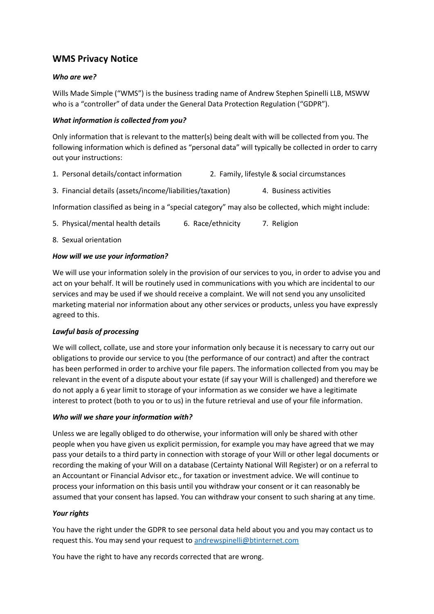# **WMS Privacy Notice**

## *Who are we?*

Wills Made Simple ("WMS") is the business trading name of Andrew Stephen Spinelli LLB, MSWW who is a "controller" of data under the General Data Protection Regulation ("GDPR").

## *What information is collected from you?*

Only information that is relevant to the matter(s) being dealt with will be collected from you. The following information which is defined as "personal data" will typically be collected in order to carry out your instructions:

- 1. Personal details/contact information 2. Family, lifestyle & social circumstances
- 3. Financial details (assets/income/liabilities/taxation) 4. Business activities

Information classified as being in a "special category" may also be collected, which might include:

- 5. Physical/mental health details 6. Race/ethnicity 7. Religion
- 8. Sexual orientation

### *How will we use your information?*

We will use your information solely in the provision of our services to you, in order to advise you and act on your behalf. It will be routinely used in communications with you which are incidental to our services and may be used if we should receive a complaint. We will not send you any unsolicited marketing material nor information about any other services or products, unless you have expressly agreed to this.

#### *Lawful basis of processing*

We will collect, collate, use and store your information only because it is necessary to carry out our obligations to provide our service to you (the performance of our contract) and after the contract has been performed in order to archive your file papers. The information collected from you may be relevant in the event of a dispute about your estate (if say your Will is challenged) and therefore we do not apply a 6 year limit to storage of your information as we consider we have a legitimate interest to protect (both to you or to us) in the future retrieval and use of your file information.

#### *Who will we share your information with?*

Unless we are legally obliged to do otherwise, your information will only be shared with other people when you have given us explicit permission, for example you may have agreed that we may pass your details to a third party in connection with storage of your Will or other legal documents or recording the making of your Will on a database (Certainty National Will Register) or on a referral to an Accountant or Financial Advisor etc., for taxation or investment advice. We will continue to process your information on this basis until you withdraw your consent or it can reasonably be assumed that your consent has lapsed. You can withdraw your consent to such sharing at any time.

#### *Your rights*

You have the right under the GDPR to see personal data held about you and you may contact us to request this. You may send your request to [andrewspinelli@btinternet.com](mailto:andrewspinelli@btinternet.com)

You have the right to have any records corrected that are wrong.